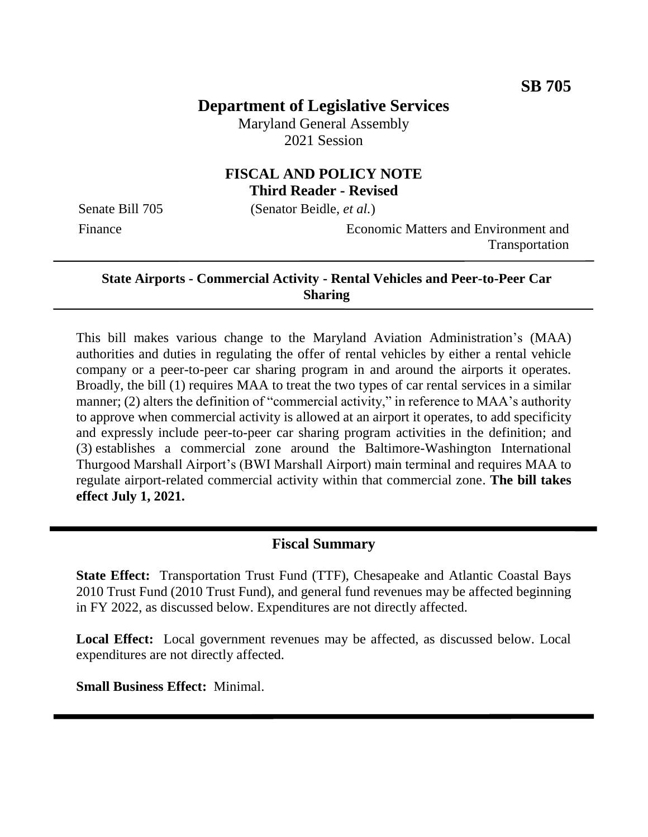# **Department of Legislative Services**

Maryland General Assembly 2021 Session

# **FISCAL AND POLICY NOTE Third Reader - Revised**

Senate Bill 705 (Senator Beidle, *et al.*)

Finance Economic Matters and Environment and Transportation

#### **State Airports - Commercial Activity - Rental Vehicles and Peer-to-Peer Car Sharing**

This bill makes various change to the Maryland Aviation Administration's (MAA) authorities and duties in regulating the offer of rental vehicles by either a rental vehicle company or a peer-to-peer car sharing program in and around the airports it operates. Broadly, the bill (1) requires MAA to treat the two types of car rental services in a similar manner; (2) alters the definition of "commercial activity," in reference to MAA's authority to approve when commercial activity is allowed at an airport it operates, to add specificity and expressly include peer-to-peer car sharing program activities in the definition; and (3) establishes a commercial zone around the Baltimore-Washington International Thurgood Marshall Airport's (BWI Marshall Airport) main terminal and requires MAA to regulate airport-related commercial activity within that commercial zone. **The bill takes effect July 1, 2021.** 

### **Fiscal Summary**

**State Effect:** Transportation Trust Fund (TTF), Chesapeake and Atlantic Coastal Bays 2010 Trust Fund (2010 Trust Fund), and general fund revenues may be affected beginning in FY 2022, as discussed below. Expenditures are not directly affected.

**Local Effect:** Local government revenues may be affected, as discussed below. Local expenditures are not directly affected.

**Small Business Effect:** Minimal.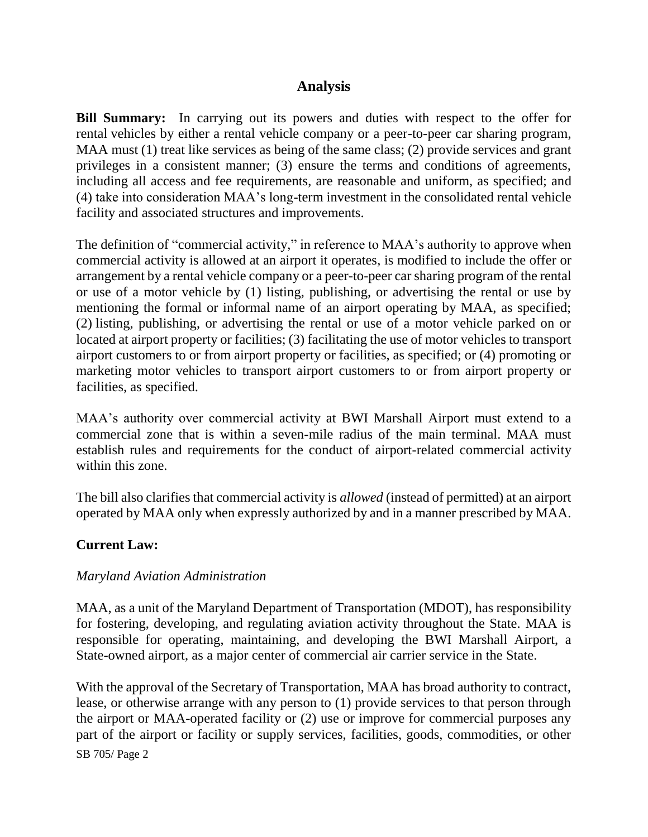# **Analysis**

**Bill Summary:** In carrying out its powers and duties with respect to the offer for rental vehicles by either a rental vehicle company or a peer-to-peer car sharing program, MAA must (1) treat like services as being of the same class; (2) provide services and grant privileges in a consistent manner; (3) ensure the terms and conditions of agreements, including all access and fee requirements, are reasonable and uniform, as specified; and (4) take into consideration MAA's long-term investment in the consolidated rental vehicle facility and associated structures and improvements.

The definition of "commercial activity," in reference to MAA's authority to approve when commercial activity is allowed at an airport it operates, is modified to include the offer or arrangement by a rental vehicle company or a peer-to-peer car sharing program of the rental or use of a motor vehicle by (1) listing, publishing, or advertising the rental or use by mentioning the formal or informal name of an airport operating by MAA, as specified; (2) listing, publishing, or advertising the rental or use of a motor vehicle parked on or located at airport property or facilities; (3) facilitating the use of motor vehicles to transport airport customers to or from airport property or facilities, as specified; or (4) promoting or marketing motor vehicles to transport airport customers to or from airport property or facilities, as specified.

MAA's authority over commercial activity at BWI Marshall Airport must extend to a commercial zone that is within a seven-mile radius of the main terminal. MAA must establish rules and requirements for the conduct of airport-related commercial activity within this zone.

The bill also clarifies that commercial activity is *allowed* (instead of permitted) at an airport operated by MAA only when expressly authorized by and in a manner prescribed by MAA.

### **Current Law:**

#### *Maryland Aviation Administration*

MAA, as a unit of the Maryland Department of Transportation (MDOT), has responsibility for fostering, developing, and regulating aviation activity throughout the State. MAA is responsible for operating, maintaining, and developing the BWI Marshall Airport, a State-owned airport, as a major center of commercial air carrier service in the State.

SB 705/ Page 2 With the approval of the Secretary of Transportation, MAA has broad authority to contract, lease, or otherwise arrange with any person to (1) provide services to that person through the airport or MAA-operated facility or (2) use or improve for commercial purposes any part of the airport or facility or supply services, facilities, goods, commodities, or other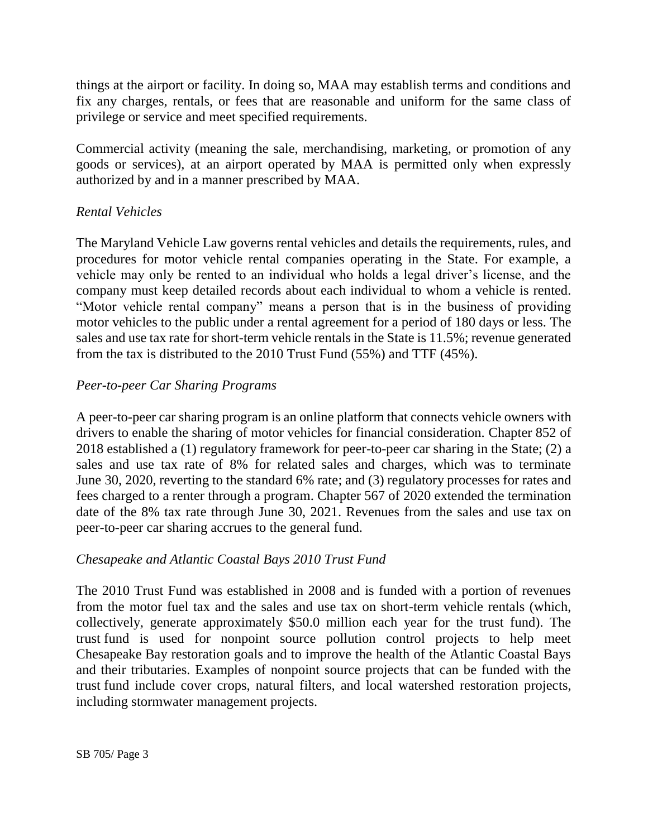things at the airport or facility. In doing so, MAA may establish terms and conditions and fix any charges, rentals, or fees that are reasonable and uniform for the same class of privilege or service and meet specified requirements.

Commercial activity (meaning the sale, merchandising, marketing, or promotion of any goods or services), at an airport operated by MAA is permitted only when expressly authorized by and in a manner prescribed by MAA.

### *Rental Vehicles*

The Maryland Vehicle Law governs rental vehicles and details the requirements, rules, and procedures for motor vehicle rental companies operating in the State. For example, a vehicle may only be rented to an individual who holds a legal driver's license, and the company must keep detailed records about each individual to whom a vehicle is rented. "Motor vehicle rental company" means a person that is in the business of providing motor vehicles to the public under a rental agreement for a period of 180 days or less. The sales and use tax rate for short-term vehicle rentals in the State is 11.5%; revenue generated from the tax is distributed to the 2010 Trust Fund (55%) and TTF (45%).

### *Peer-to-peer Car Sharing Programs*

A peer-to-peer car sharing program is an online platform that connects vehicle owners with drivers to enable the sharing of motor vehicles for financial consideration. Chapter 852 of 2018 established a (1) regulatory framework for peer-to-peer car sharing in the State; (2) a sales and use tax rate of 8% for related sales and charges, which was to terminate June 30, 2020, reverting to the standard 6% rate; and (3) regulatory processes for rates and fees charged to a renter through a program. Chapter 567 of 2020 extended the termination date of the 8% tax rate through June 30, 2021. Revenues from the sales and use tax on peer-to-peer car sharing accrues to the general fund.

# *Chesapeake and Atlantic Coastal Bays 2010 Trust Fund*

The 2010 Trust Fund was established in 2008 and is funded with a portion of revenues from the motor fuel tax and the sales and use tax on short-term vehicle rentals (which, collectively, generate approximately \$50.0 million each year for the trust fund). The trust fund is used for nonpoint source pollution control projects to help meet Chesapeake Bay restoration goals and to improve the health of the Atlantic Coastal Bays and their tributaries. Examples of nonpoint source projects that can be funded with the trust fund include cover crops, natural filters, and local watershed restoration projects, including stormwater management projects.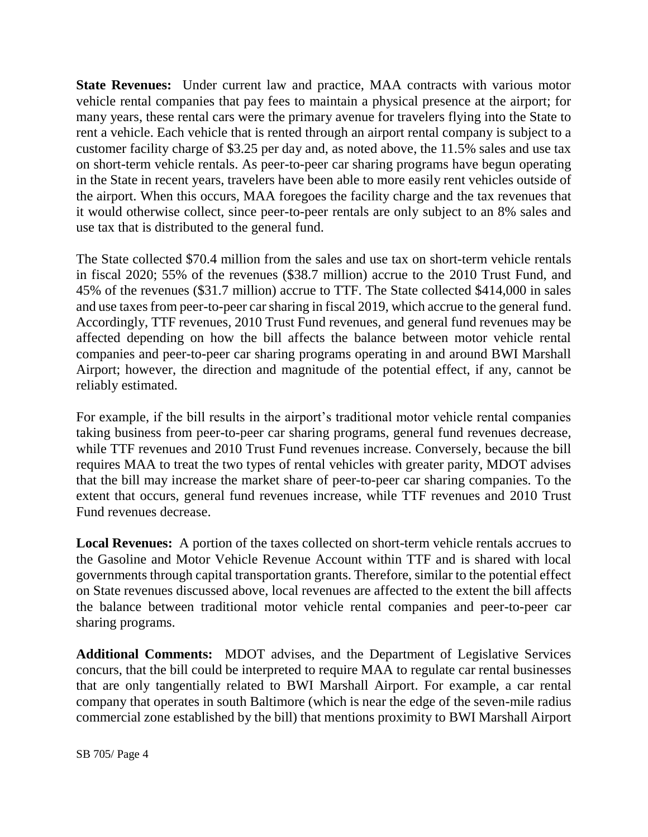**State Revenues:** Under current law and practice, MAA contracts with various motor vehicle rental companies that pay fees to maintain a physical presence at the airport; for many years, these rental cars were the primary avenue for travelers flying into the State to rent a vehicle. Each vehicle that is rented through an airport rental company is subject to a customer facility charge of \$3.25 per day and, as noted above, the 11.5% sales and use tax on short-term vehicle rentals. As peer-to-peer car sharing programs have begun operating in the State in recent years, travelers have been able to more easily rent vehicles outside of the airport. When this occurs, MAA foregoes the facility charge and the tax revenues that it would otherwise collect, since peer-to-peer rentals are only subject to an 8% sales and use tax that is distributed to the general fund.

The State collected \$70.4 million from the sales and use tax on short-term vehicle rentals in fiscal 2020; 55% of the revenues (\$38.7 million) accrue to the 2010 Trust Fund, and 45% of the revenues (\$31.7 million) accrue to TTF. The State collected \$414,000 in sales and use taxes from peer-to-peer car sharing in fiscal 2019, which accrue to the general fund. Accordingly, TTF revenues, 2010 Trust Fund revenues, and general fund revenues may be affected depending on how the bill affects the balance between motor vehicle rental companies and peer-to-peer car sharing programs operating in and around BWI Marshall Airport; however, the direction and magnitude of the potential effect, if any, cannot be reliably estimated.

For example, if the bill results in the airport's traditional motor vehicle rental companies taking business from peer-to-peer car sharing programs, general fund revenues decrease, while TTF revenues and 2010 Trust Fund revenues increase. Conversely, because the bill requires MAA to treat the two types of rental vehicles with greater parity, MDOT advises that the bill may increase the market share of peer-to-peer car sharing companies. To the extent that occurs, general fund revenues increase, while TTF revenues and 2010 Trust Fund revenues decrease.

**Local Revenues:** A portion of the taxes collected on short-term vehicle rentals accrues to the Gasoline and Motor Vehicle Revenue Account within TTF and is shared with local governments through capital transportation grants. Therefore, similar to the potential effect on State revenues discussed above, local revenues are affected to the extent the bill affects the balance between traditional motor vehicle rental companies and peer-to-peer car sharing programs.

**Additional Comments:** MDOT advises, and the Department of Legislative Services concurs, that the bill could be interpreted to require MAA to regulate car rental businesses that are only tangentially related to BWI Marshall Airport. For example, a car rental company that operates in south Baltimore (which is near the edge of the seven-mile radius commercial zone established by the bill) that mentions proximity to BWI Marshall Airport